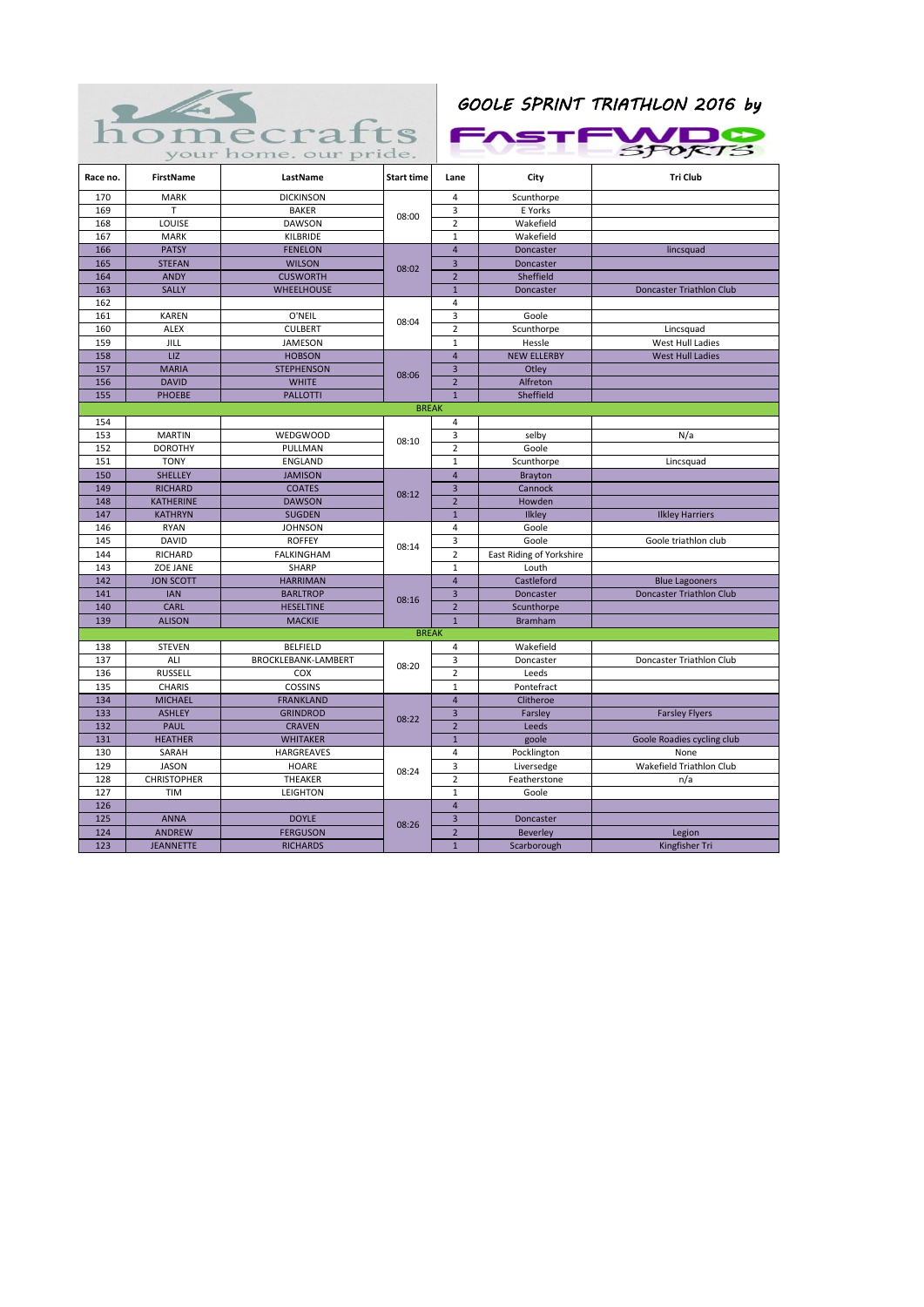

|          |                    | your home. our pride. |                   |                         |                          | SPORTS                     |
|----------|--------------------|-----------------------|-------------------|-------------------------|--------------------------|----------------------------|
| Race no. | <b>FirstName</b>   | LastName              | <b>Start time</b> | Lane                    | City                     | <b>Tri Club</b>            |
| 170      | <b>MARK</b>        | <b>DICKINSON</b>      | 08:00             | 4                       | Scunthorpe               |                            |
| 169      | T                  | <b>BAKER</b>          |                   | 3                       | E Yorks                  |                            |
| 168      | LOUISE             | <b>DAWSON</b>         |                   | $\overline{2}$          | Wakefield                |                            |
| 167      | <b>MARK</b>        | KILBRIDE              |                   | $\mathbf 1$             | Wakefield                |                            |
| 166      | <b>PATSY</b>       | <b>FENELON</b>        | 08:02             | $\overline{4}$          | Doncaster                | lincsquad                  |
| 165      | <b>STEFAN</b>      | <b>WILSON</b>         |                   | 3                       | Doncaster                |                            |
| 164      | <b>ANDY</b>        | <b>CUSWORTH</b>       |                   | $\overline{2}$          | Sheffield                |                            |
| 163      | <b>SALLY</b>       | <b>WHEELHOUSE</b>     |                   | $\mathbf 1$             | Doncaster                | Doncaster Triathlon Club   |
| 162      |                    |                       |                   | 4                       |                          |                            |
| 161      | <b>KAREN</b>       | O'NEIL                | 08:04             | 3                       | Goole                    |                            |
| 160      | <b>ALEX</b>        | <b>CULBERT</b>        |                   | $\overline{2}$          | Scunthorpe               | Lincsquad                  |
| 159      | JILL               | JAMESON               |                   | $\mathbf{1}$            | Hessle                   | West Hull Ladies           |
| 158      | LIZ                | <b>HOBSON</b>         |                   | $\overline{\mathbf{4}}$ | <b>NEW ELLERBY</b>       | <b>West Hull Ladies</b>    |
| 157      | <b>MARIA</b>       | <b>STEPHENSON</b>     | 08:06             | 3                       | Otley                    |                            |
| 156      | <b>DAVID</b>       | <b>WHITE</b>          |                   | $\overline{2}$          | Alfreton                 |                            |
| 155      | <b>PHOEBE</b>      | <b>PALLOTTI</b>       |                   | $\mathbf{1}$            | Sheffield                |                            |
|          |                    |                       | <b>BREAK</b>      |                         |                          |                            |
| 154      |                    |                       |                   | 4                       |                          |                            |
| 153      | <b>MARTIN</b>      | <b>WEDGWOOD</b>       | 08:10             | 3                       | selby                    | N/a                        |
| 152      | <b>DOROTHY</b>     | PULLMAN               |                   | $\overline{2}$          | Goole                    |                            |
| 151      | <b>TONY</b>        | ENGLAND               |                   | $\mathbf 1$             | Scunthorpe               | Lincsquad                  |
| 150      | <b>SHELLEY</b>     | <b>JAMISON</b>        |                   | $\overline{\mathbf{4}}$ | <b>Brayton</b>           |                            |
| 149      | <b>RICHARD</b>     | <b>COATES</b>         | 08:12             | $\overline{3}$          | Cannock                  |                            |
| 148      | KATHERINE          | <b>DAWSON</b>         |                   | $\overline{2}$          | Howden                   |                            |
| 147      | <b>KATHRYN</b>     | <b>SUGDEN</b>         |                   | $\overline{1}$          | Ilkley                   | <b>Ilkley Harriers</b>     |
| 146      | <b>RYAN</b>        | <b>JOHNSON</b>        |                   | 4                       | Goole                    |                            |
| 145      | <b>DAVID</b>       | <b>ROFFEY</b>         | 08:14             | 3                       | Goole                    | Goole triathlon club       |
| 144      | <b>RICHARD</b>     | <b>FALKINGHAM</b>     |                   | $\overline{2}$          | East Riding of Yorkshire |                            |
| 143      | ZOE JANE           | <b>SHARP</b>          |                   | $\mathbf{1}$            | Louth                    |                            |
| 142      | <b>JON SCOTT</b>   | <b>HARRIMAN</b>       |                   | $\overline{\mathbf{4}}$ | Castleford               | <b>Blue Lagooners</b>      |
| 141      | <b>IAN</b>         | <b>BARLTROP</b>       | 08:16             | 3                       | Doncaster                | Doncaster Triathlon Club   |
| 140      | <b>CARL</b>        | <b>HESELTINE</b>      |                   | $\overline{2}$          | Scunthorpe               |                            |
| 139      | <b>ALISON</b>      | <b>MACKIE</b>         |                   | $\mathbf{1}$            | <b>Bramham</b>           |                            |
|          |                    |                       | <b>BREAK</b>      |                         |                          |                            |
| 138      | <b>STEVEN</b>      | <b>BELFIELD</b>       |                   | 4                       | Wakefield                |                            |
| 137      | ALI                | BROCKLEBANK-LAMBERT   | 08:20             | 3                       | Doncaster                | Doncaster Triathlon Club   |
| 136      | <b>RUSSELL</b>     | COX                   |                   | $\overline{2}$          | Leeds                    |                            |
| 135      | CHARIS             | COSSINS               |                   | $\mathbf 1$             | Pontefract               |                            |
| 134      | <b>MICHAEL</b>     | <b>FRANKLAND</b>      | 08:22             | $\overline{4}$          | Clitheroe                |                            |
| 133      | <b>ASHLEY</b>      | <b>GRINDROD</b>       |                   | $\overline{\mathbf{3}}$ | Farsley                  | <b>Farsley Flyers</b>      |
| 132      | <b>PAUL</b>        | <b>CRAVEN</b>         |                   | $\overline{2}$          | Leeds                    |                            |
| 131      | <b>HEATHER</b>     | <b>WHITAKER</b>       |                   | $\mathbf 1$             | goole                    | Goole Roadies cycling club |
| 130      | SARAH              | HARGREAVES            |                   | 4                       | Pocklington              | None                       |
| 129      | <b>JASON</b>       | HOARE                 | 08:24             | 3                       | Liversedge               | Wakefield Triathlon Club   |
| 128      | <b>CHRISTOPHER</b> | THEAKER               |                   | $\overline{2}$          | Featherstone             | n/a                        |
| 127      | <b>TIM</b>         | <b>LEIGHTON</b>       |                   | $\mathbf{1}$            | Goole                    |                            |
| 126      |                    |                       |                   | $\overline{4}$          |                          |                            |
| 125      | <b>ANNA</b>        | <b>DOYLE</b>          | 08:26             | 3                       | Doncaster                |                            |
| 124      | <b>ANDREW</b>      | <b>FERGUSON</b>       |                   | $\overline{2}$          | <b>Beverley</b>          | Legion                     |
| 123      | <b>JEANNETTE</b>   | <b>RICHARDS</b>       |                   | $\mathbf{1}$            | Scarborough              | Kingfisher Tri             |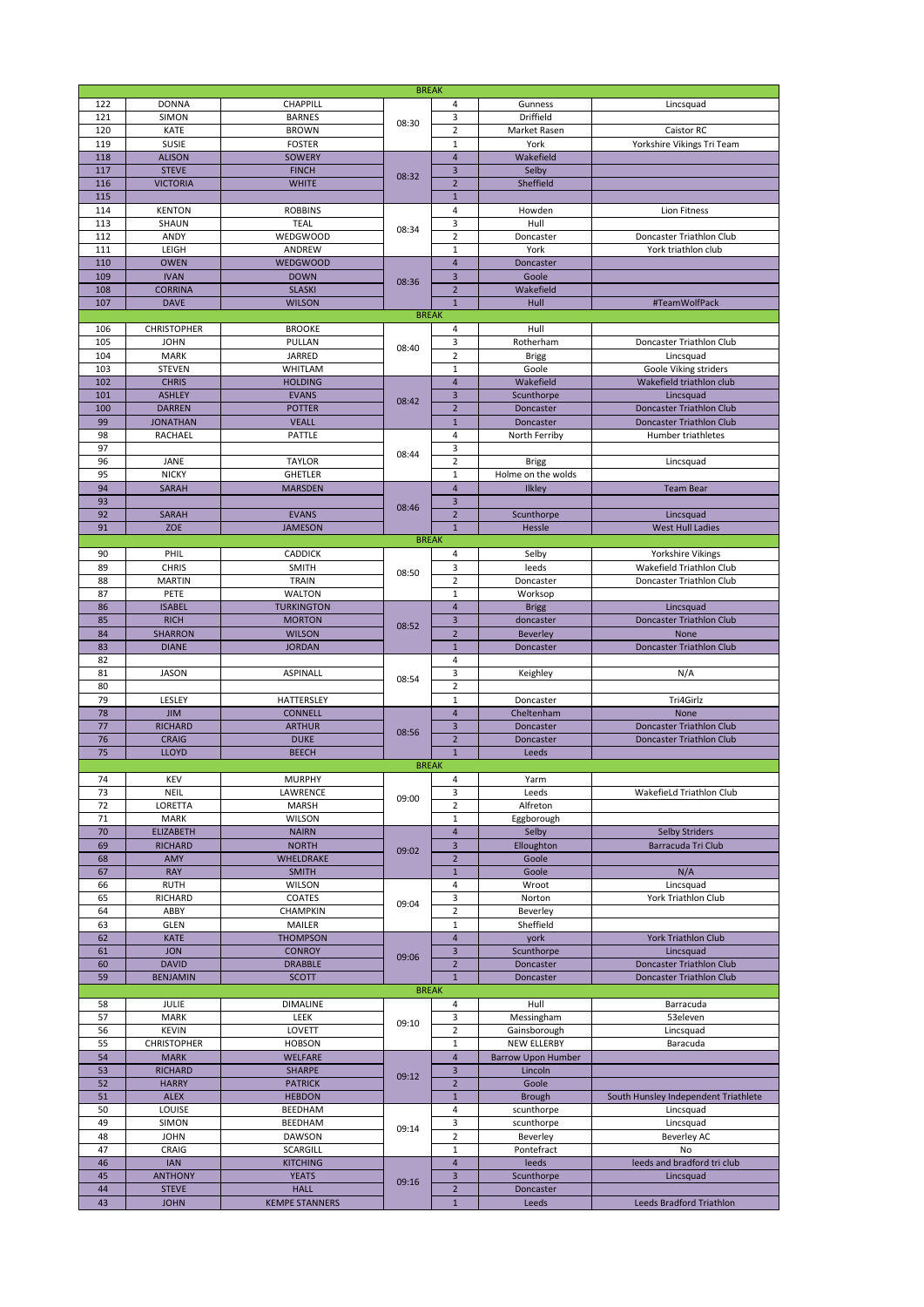|     |                    |                       | <b>BREAK</b> |                         |                           |                                      |                          |  |
|-----|--------------------|-----------------------|--------------|-------------------------|---------------------------|--------------------------------------|--------------------------|--|
|     |                    |                       |              |                         |                           |                                      |                          |  |
| 122 | <b>DONNA</b>       | CHAPPILL              |              | 4                       | Gunness                   | Lincsquad                            |                          |  |
| 121 | SIMON              | <b>BARNES</b>         |              | 3                       | Driffield                 |                                      |                          |  |
| 120 | KATE               | <b>BROWN</b>          | 08:30        | $\overline{2}$          | Market Rasen              | Caistor RC                           |                          |  |
|     |                    |                       |              |                         |                           |                                      |                          |  |
| 119 | <b>SUSIE</b>       | <b>FOSTER</b>         | 08:32        | $\mathbf 1$             | York                      | Yorkshire Vikings Tri Team           |                          |  |
| 118 |                    |                       |              | $\overline{4}$          |                           |                                      |                          |  |
|     | <b>ALISON</b>      | <b>SOWERY</b>         |              |                         |                           | Wakefield                            |                          |  |
| 117 | <b>STEVE</b>       | <b>FINCH</b>          |              | $\overline{\mathbf{3}}$ | Selby                     |                                      |                          |  |
| 116 | <b>VICTORIA</b>    | <b>WHITE</b>          |              | $\overline{2}$          | Sheffield                 |                                      |                          |  |
|     |                    |                       |              |                         |                           |                                      |                          |  |
| 115 |                    |                       |              | $\mathbf{1}$            |                           |                                      |                          |  |
| 114 | <b>KENTON</b>      | <b>ROBBINS</b>        |              | $\overline{4}$          | Howden                    | Lion Fitness                         |                          |  |
|     |                    |                       | 08:34        |                         |                           |                                      |                          |  |
| 113 | SHAUN              | <b>TEAL</b>           |              |                         |                           | 3                                    | Hull                     |  |
| 112 | ANDY               | <b>WEDGWOOD</b>       |              |                         | $\mathbf 2$               | Doncaster                            | Doncaster Triathlon Club |  |
|     |                    |                       |              |                         |                           |                                      |                          |  |
| 111 | LEIGH              | ANDREW                |              | $\mathbf{1}$            | York                      | York triathlon club                  |                          |  |
| 110 | <b>OWEN</b>        | <b>WEDGWOOD</b>       |              | $\overline{4}$          | Doncaster                 |                                      |                          |  |
|     |                    |                       |              |                         |                           |                                      |                          |  |
| 109 | <b>IVAN</b>        | <b>DOWN</b>           |              | $\mathsf 3$             | Goole                     |                                      |                          |  |
| 108 | <b>CORRINA</b>     | <b>SLASKI</b>         | 08:36        | $\overline{2}$          | Wakefield                 |                                      |                          |  |
|     |                    |                       |              |                         |                           |                                      |                          |  |
| 107 | <b>DAVE</b>        | <b>WILSON</b>         |              | $\mathbf 1$             | Hull                      | #TeamWolfPack                        |                          |  |
|     |                    |                       | <b>BREAK</b> |                         |                           |                                      |                          |  |
|     |                    |                       |              |                         |                           |                                      |                          |  |
| 106 | <b>CHRISTOPHER</b> | <b>BROOKE</b>         |              | 4                       | Hull                      |                                      |                          |  |
| 105 | <b>JOHN</b>        | PULLAN                |              | 3                       | Rotherham                 | Doncaster Triathlon Club             |                          |  |
|     |                    |                       | 08:40        |                         |                           |                                      |                          |  |
| 104 | <b>MARK</b>        | <b>JARRED</b>         |              | $\overline{2}$          | <b>Brigg</b>              | Lincsquad                            |                          |  |
| 103 | <b>STEVEN</b>      | WHITLAM               |              | $\mathbf 1$             | Goole                     | Goole Viking striders                |                          |  |
|     |                    |                       |              |                         |                           |                                      |                          |  |
| 102 | <b>CHRIS</b>       | <b>HOLDING</b>        |              | $\overline{4}$          | Wakefield                 | Wakefield triathlon club             |                          |  |
| 101 | <b>ASHLEY</b>      | <b>EVANS</b>          |              | $\overline{\mathbf{3}}$ | Scunthorpe                | Lincsquad                            |                          |  |
|     |                    |                       | 08:42        |                         |                           |                                      |                          |  |
| 100 | <b>DARREN</b>      | <b>POTTER</b>         |              | $\overline{2}$          | Doncaster                 | Doncaster Triathlon Club             |                          |  |
| 99  | <b>JONATHAN</b>    | <b>VEALL</b>          |              | $\mathbf 1$             | Doncaster                 | Doncaster Triathlon Club             |                          |  |
|     |                    |                       |              |                         |                           |                                      |                          |  |
| 98  | RACHAEL            | PATTLE                |              | $\overline{4}$          | North Ferriby             | Humber triathletes                   |                          |  |
| 97  |                    |                       |              | 3                       |                           |                                      |                          |  |
|     |                    |                       | 08:44        |                         |                           |                                      |                          |  |
| 96  | JANE               | <b>TAYLOR</b>         |              | $\overline{2}$          | <b>Brigg</b>              | Lincsquad                            |                          |  |
| 95  | <b>NICKY</b>       | <b>GHETLER</b>        |              | $\mathbf 1$             | Holme on the wolds        |                                      |                          |  |
|     |                    |                       |              |                         |                           |                                      |                          |  |
| 94  | <b>SARAH</b>       | <b>MARSDEN</b>        |              | $\overline{4}$          | <b>Ilkley</b>             | <b>Team Bear</b>                     |                          |  |
| 93  |                    |                       |              | $\overline{\mathbf{3}}$ |                           |                                      |                          |  |
|     |                    |                       | 08:46        |                         |                           |                                      |                          |  |
| 92  | <b>SARAH</b>       | <b>EVANS</b>          |              | $\overline{2}$          | Scunthorpe                | Lincsquad                            |                          |  |
| 91  | ZOE                | <b>JAMESON</b>        |              | $\mathbf 1$             | Hessle                    | <b>West Hull Ladies</b>              |                          |  |
|     |                    |                       |              |                         |                           |                                      |                          |  |
|     |                    |                       | <b>BREAK</b> |                         |                           |                                      |                          |  |
| 90  | PHIL               | <b>CADDICK</b>        |              | 4                       | Selby                     | Yorkshire Vikings                    |                          |  |
|     |                    |                       |              |                         |                           |                                      |                          |  |
| 89  | <b>CHRIS</b>       | <b>SMITH</b>          | 08:50        | 3                       | leeds                     | Wakefield Triathlon Club             |                          |  |
| 88  | <b>MARTIN</b>      | TRAIN                 |              | $\overline{2}$          | Doncaster                 | Doncaster Triathlon Club             |                          |  |
|     |                    |                       |              |                         |                           |                                      |                          |  |
| 87  | PETE               | <b>WALTON</b>         |              | $\mathbf 1$             | Worksop                   |                                      |                          |  |
| 86  | <b>ISABEL</b>      | <b>TURKINGTON</b>     |              | $\overline{4}$          | <b>Brigg</b>              | Lincsquad                            |                          |  |
|     |                    |                       |              |                         |                           |                                      |                          |  |
| 85  | <b>RICH</b>        | <b>MORTON</b>         | 08:52        | $\mathsf 3$             | doncaster                 | Doncaster Triathlon Club             |                          |  |
| 84  | <b>SHARRON</b>     | <b>WILSON</b>         |              | $\overline{2}$          | <b>Beverley</b>           | None                                 |                          |  |
|     |                    |                       |              |                         |                           |                                      |                          |  |
| 83  | <b>DIANE</b>       | <b>JORDAN</b>         |              | $\mathbf 1$             | Doncaster                 | Doncaster Triathlon Club             |                          |  |
| 82  |                    |                       |              | $\overline{4}$          |                           |                                      |                          |  |
|     |                    |                       |              | 3                       |                           |                                      |                          |  |
| 81  | <b>JASON</b>       | <b>ASPINALL</b>       |              |                         |                           |                                      |                          |  |
|     |                    |                       |              |                         | Keighley                  | N/A                                  |                          |  |
|     |                    |                       | 08:54        |                         |                           |                                      |                          |  |
| 80  |                    |                       |              | $\overline{2}$          |                           |                                      |                          |  |
| 79  | LESLEY             | HATTERSLEY            |              | $\mathbf{1}$            | Doncaster                 | Tri4Girlz                            |                          |  |
|     | <b>JIM</b>         | <b>CONNELL</b>        |              | $\overline{\mathbf{4}}$ | Cheltenham                | None                                 |                          |  |
| 78  |                    |                       |              |                         |                           |                                      |                          |  |
| 77  | <b>RICHARD</b>     | <b>ARTHUR</b>         |              | $\overline{\mathbf{3}}$ | Doncaster                 | Doncaster Triathlon Club             |                          |  |
| 76  | <b>CRAIG</b>       | <b>DUKE</b>           | 08:56        | $\overline{2}$          | Doncaster                 | <b>Doncaster Triathlon Club</b>      |                          |  |
|     |                    |                       |              |                         |                           |                                      |                          |  |
| 75  | <b>LLOYD</b>       | <b>BEECH</b>          |              | $\overline{1}$          | Leeds                     |                                      |                          |  |
|     |                    |                       | <b>BREAK</b> |                         |                           |                                      |                          |  |
|     |                    |                       |              |                         |                           |                                      |                          |  |
| 74  | <b>KEV</b>         | <b>MURPHY</b>         |              | 4                       | Yarm                      |                                      |                          |  |
| 73  | <b>NEIL</b>        | LAWRENCE              |              | 3                       | Leeds                     | WakefieLd Triathlon Club             |                          |  |
|     |                    |                       | 09:00        |                         |                           |                                      |                          |  |
| 72  | LORETTA            | <b>MARSH</b>          |              | $\overline{2}$          | Alfreton                  |                                      |                          |  |
| 71  | <b>MARK</b>        | <b>WILSON</b>         |              | $\mathbf 1$             | Eggborough                |                                      |                          |  |
|     |                    |                       |              | $\overline{4}$          |                           |                                      |                          |  |
| 70  | <b>ELIZABETH</b>   | <b>NAIRN</b>          |              |                         | Selby                     | <b>Selby Striders</b>                |                          |  |
| 69  | <b>RICHARD</b>     | <b>NORTH</b>          | 09:02        | $\overline{\mathbf{3}}$ | Elloughton                | Barracuda Tri Club                   |                          |  |
| 68  | AMY                | WHELDRAKE             |              | $\overline{2}$          | Goole                     |                                      |                          |  |
|     |                    |                       |              |                         |                           |                                      |                          |  |
| 67  | <b>RAY</b>         | <b>SMITH</b>          |              | $\mathbf 1$             | Goole                     | N/A                                  |                          |  |
| 66  | <b>RUTH</b>        | <b>WILSON</b>         |              | 4                       | Wroot                     | Lincsquad                            |                          |  |
|     |                    |                       |              |                         |                           |                                      |                          |  |
| 65  | RICHARD            | COATES                | 09:04        | 3                       | Norton                    | York Triathlon Club                  |                          |  |
| 64  | ABBY               | CHAMPKIN              |              | $\overline{2}$          | Beverley                  |                                      |                          |  |
|     |                    |                       |              |                         |                           |                                      |                          |  |
| 63  | <b>GLEN</b>        | MAILER                |              | $\mathbf 1$             | Sheffield                 |                                      |                          |  |
| 62  | <b>KATE</b>        | <b>THOMPSON</b>       |              | $\overline{4}$          | york                      | <b>York Triathlon Club</b>           |                          |  |
|     |                    |                       |              |                         |                           |                                      |                          |  |
| 61  | <b>JON</b>         | <b>CONROY</b>         | 09:06        | $\mathsf 3$             | Scunthorpe                | Lincsquad                            |                          |  |
| 60  | <b>DAVID</b>       | <b>DRABBLE</b>        |              | $\overline{2}$          | Doncaster                 | Doncaster Triathlon Club             |                          |  |
| 59  | <b>BENJAMIN</b>    | SCOTT                 |              | $\mathbf{1}$            | Doncaster                 | Doncaster Triathlon Club             |                          |  |
|     |                    |                       |              |                         |                           |                                      |                          |  |
|     |                    |                       | <b>BREAK</b> |                         |                           |                                      |                          |  |
| 58  | <b>JULIE</b>       | DIMALINE              |              | 4                       | Hull                      | Barracuda                            |                          |  |
|     |                    |                       |              |                         |                           |                                      |                          |  |
| 57  | <b>MARK</b>        | LEEK                  |              | 3                       | Messingham                | 53eleven                             |                          |  |
| 56  | <b>KEVIN</b>       | LOVETT                | 09:10        | $\mathbf 2$             | Gainsborough              | Lincsquad                            |                          |  |
|     |                    |                       |              |                         |                           |                                      |                          |  |
| 55  | <b>CHRISTOPHER</b> | <b>HOBSON</b>         |              | $\mathbf 1$             | <b>NEW ELLERBY</b>        | Baracuda                             |                          |  |
| 54  | <b>MARK</b>        | <b>WELFARE</b>        |              | $\overline{\mathbf{4}}$ | <b>Barrow Upon Humber</b> |                                      |                          |  |
|     |                    |                       |              |                         |                           |                                      |                          |  |
| 53  | <b>RICHARD</b>     | SHARPE                | 09:12        | $\mathsf 3$             | Lincoln                   |                                      |                          |  |
| 52  | <b>HARRY</b>       | <b>PATRICK</b>        |              | $\overline{2}$          | Goole                     |                                      |                          |  |
|     |                    |                       |              |                         |                           |                                      |                          |  |
| 51  | <b>ALEX</b>        | <b>HEBDON</b>         |              | $\mathbf 1$             | <b>Brough</b>             | South Hunsley Independent Triathlete |                          |  |
| 50  | LOUISE             | BEEDHAM               |              | $\overline{4}$          | scunthorpe                | Lincsquad                            |                          |  |
|     |                    |                       |              |                         |                           |                                      |                          |  |
| 49  | SIMON              | BEEDHAM               | 09:14        | 3                       | scunthorpe                | Lincsquad                            |                          |  |
| 48  | <b>JOHN</b>        | DAWSON                |              | $\overline{2}$          | Beverley                  | <b>Beverley AC</b>                   |                          |  |
|     |                    |                       |              |                         |                           |                                      |                          |  |
| 47  | CRAIG              | <b>SCARGILL</b>       |              | $\mathbf 1$             | Pontefract                | No                                   |                          |  |
| 46  | <b>IAN</b>         | <b>KITCHING</b>       |              | $\sqrt{4}$              | leeds                     | leeds and bradford tri club          |                          |  |
|     |                    |                       |              |                         |                           |                                      |                          |  |
| 45  | <b>ANTHONY</b>     | <b>YEATS</b>          | 09:16        | $\mathsf 3$             | Scunthorpe                | Lincsquad                            |                          |  |
| 44  | <b>STEVE</b>       | <b>HALL</b>           |              | $\mathbf 2$             | Doncaster                 |                                      |                          |  |
| 43  | <b>JOHN</b>        | <b>KEMPE STANNERS</b> |              | $\mathbf 1$             | Leeds                     | Leeds Bradford Triathlon             |                          |  |